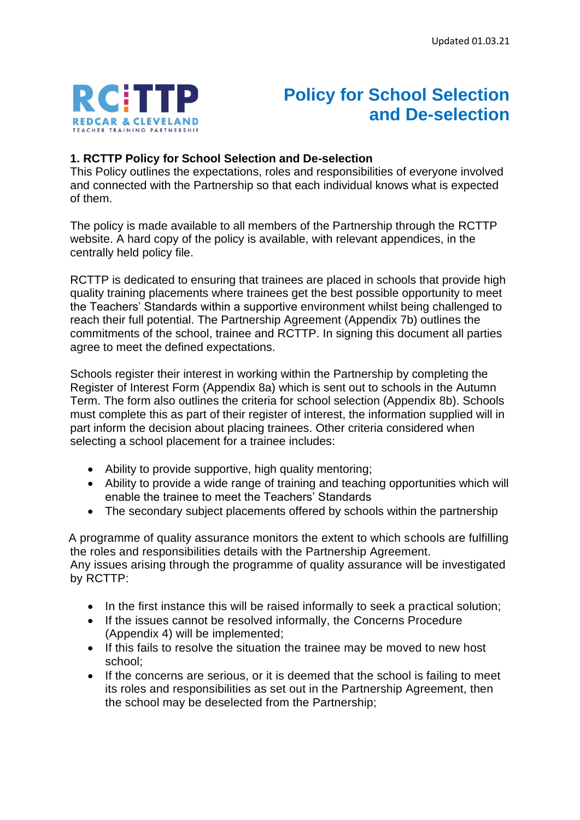

# **Policy for School Selection and De-selection**

#### **1. RCTTP Policy for School Selection and De-selection**

This Policy outlines the expectations, roles and responsibilities of everyone involved and connected with the Partnership so that each individual knows what is expected of them.

The policy is made available to all members of the Partnership through the RCTTP website. A hard copy of the policy is available, with relevant appendices, in the centrally held policy file.

RCTTP is dedicated to ensuring that trainees are placed in schools that provide high quality training placements where trainees get the best possible opportunity to meet the Teachers' Standards within a supportive environment whilst being challenged to reach their full potential. The Partnership Agreement (Appendix 7b) outlines the commitments of the school, trainee and RCTTP. In signing this document all parties agree to meet the defined expectations.

Schools register their interest in working within the Partnership by completing the Register of Interest Form (Appendix 8a) which is sent out to schools in the Autumn Term. The form also outlines the criteria for school selection (Appendix 8b). Schools must complete this as part of their register of interest, the information supplied will in part inform the decision about placing trainees. Other criteria considered when selecting a school placement for a trainee includes:

- Ability to provide supportive, high quality mentoring;
- Ability to provide a wide range of training and teaching opportunities which will enable the trainee to meet the Teachers' Standards
- The secondary subject placements offered by schools within the partnership

 A programme of quality assurance monitors the extent to which schools are fulfilling the roles and responsibilities details with the Partnership Agreement. Any issues arising through the programme of quality assurance will be investigated by RCTTP:

- In the first instance this will be raised informally to seek a practical solution;
- If the issues cannot be resolved informally, the Concerns Procedure (Appendix 4) will be implemented;
- If this fails to resolve the situation the trainee may be moved to new host school;
- If the concerns are serious, or it is deemed that the school is failing to meet its roles and responsibilities as set out in the Partnership Agreement, then the school may be deselected from the Partnership;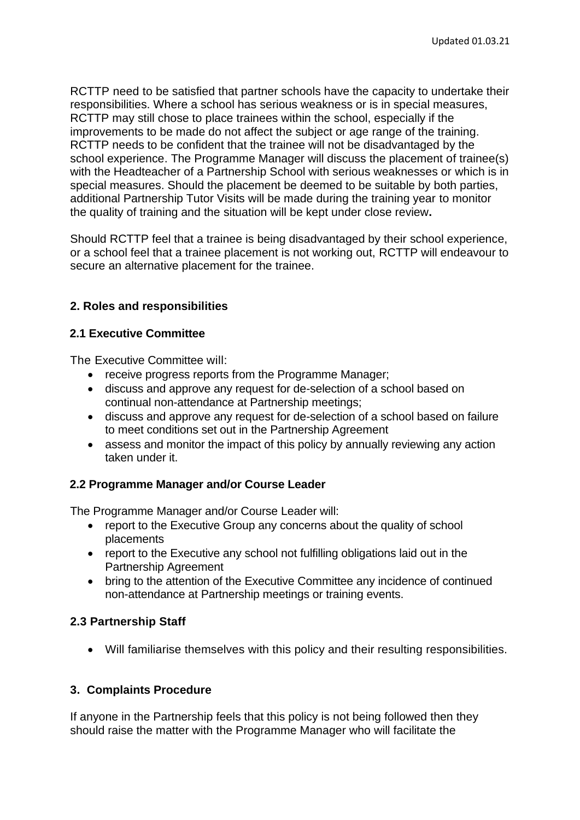RCTTP need to be satisfied that partner schools have the capacity to undertake their responsibilities. Where a school has serious weakness or is in special measures, RCTTP may still chose to place trainees within the school, especially if the improvements to be made do not affect the subject or age range of the training. RCTTP needs to be confident that the trainee will not be disadvantaged by the school experience. The Programme Manager will discuss the placement of trainee(s) with the Headteacher of a Partnership School with serious weaknesses or which is in special measures. Should the placement be deemed to be suitable by both parties, additional Partnership Tutor Visits will be made during the training year to monitor the quality of training and the situation will be kept under close review**.**

Should RCTTP feel that a trainee is being disadvantaged by their school experience, or a school feel that a trainee placement is not working out, RCTTP will endeavour to secure an alternative placement for the trainee.

## **2. Roles and responsibilities**

#### **2.1 Executive Committee**

The Executive Committee will:

- receive progress reports from the Programme Manager;
- discuss and approve any request for de-selection of a school based on continual non-attendance at Partnership meetings;
- discuss and approve any request for de-selection of a school based on failure to meet conditions set out in the Partnership Agreement
- assess and monitor the impact of this policy by annually reviewing any action taken under it.

## **2.2 Programme Manager and/or Course Leader**

The Programme Manager and/or Course Leader will:

- report to the Executive Group any concerns about the quality of school placements
- report to the Executive any school not fulfilling obligations laid out in the Partnership Agreement
- bring to the attention of the Executive Committee any incidence of continued non-attendance at Partnership meetings or training events.

## **2.3 Partnership Staff**

• Will familiarise themselves with this policy and their resulting responsibilities.

## **3. Complaints Procedure**

If anyone in the Partnership feels that this policy is not being followed then they should raise the matter with the Programme Manager who will facilitate the